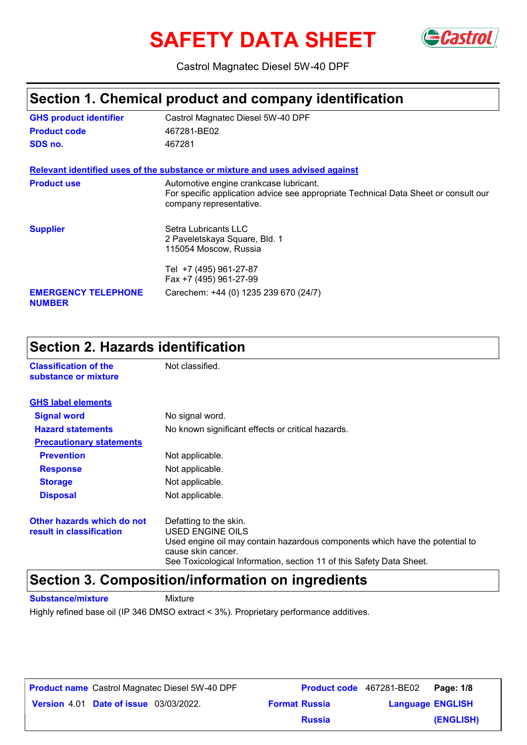# **SAFETY DATA SHEET** GCastrol



Castrol Magnatec Diesel 5W-40 DPF

### **Section 1. Chemical product and company identification**

| <b>GHS product identifier</b>               | Castrol Magnatec Diesel 5W-40 DPF                                                                                                                        |
|---------------------------------------------|----------------------------------------------------------------------------------------------------------------------------------------------------------|
| <b>Product code</b>                         | 467281-BE02                                                                                                                                              |
| SDS no.                                     | 467281                                                                                                                                                   |
|                                             | Relevant identified uses of the substance or mixture and uses advised against                                                                            |
| <b>Product use</b>                          | Automotive engine crankcase lubricant.<br>For specific application advice see appropriate Technical Data Sheet or consult our<br>company representative. |
| <b>Supplier</b>                             | Setra Lubricants LLC<br>2 Paveletskaya Square, Bld. 1<br>115054 Moscow, Russia                                                                           |
|                                             | Tel +7 (495) 961-27-87<br>Fax +7 (495) 961-27-99                                                                                                         |
| <b>EMERGENCY TELEPHONE</b><br><b>NUMBER</b> | Carechem: +44 (0) 1235 239 670 (24/7)                                                                                                                    |

### **Section 2. Hazards identification**

| <b>Classification of the</b><br>substance or mixture   | Not classified.                                                                                                                                                                                                          |
|--------------------------------------------------------|--------------------------------------------------------------------------------------------------------------------------------------------------------------------------------------------------------------------------|
| <b>GHS label elements</b>                              |                                                                                                                                                                                                                          |
| <b>Signal word</b>                                     | No signal word.                                                                                                                                                                                                          |
| <b>Hazard statements</b>                               | No known significant effects or critical hazards.                                                                                                                                                                        |
| <b>Precautionary statements</b>                        |                                                                                                                                                                                                                          |
| <b>Prevention</b>                                      | Not applicable.                                                                                                                                                                                                          |
| <b>Response</b>                                        | Not applicable.                                                                                                                                                                                                          |
| <b>Storage</b>                                         | Not applicable.                                                                                                                                                                                                          |
| <b>Disposal</b>                                        | Not applicable.                                                                                                                                                                                                          |
| Other hazards which do not<br>result in classification | Defatting to the skin.<br>USED ENGINE OILS<br>Used engine oil may contain hazardous components which have the potential to<br>cause skin cancer.<br>See Toxicological Information, section 11 of this Safety Data Sheet. |

### **Section 3. Composition/information on ingredients**

**Substance/mixture Mixture** 

Highly refined base oil (IP 346 DMSO extract < 3%). Proprietary performance additives.

| <b>Product name</b> Castrol Magnatec Diesel 5W-40 DPF |                      | <b>Product code</b> 467281-BE02 Page: 1/8 |
|-------------------------------------------------------|----------------------|-------------------------------------------|
| <b>Version 4.01 Date of issue 03/03/2022.</b>         | <b>Format Russia</b> | <b>Language ENGLISH</b>                   |
|                                                       | <b>Russia</b>        | (ENGLISH)                                 |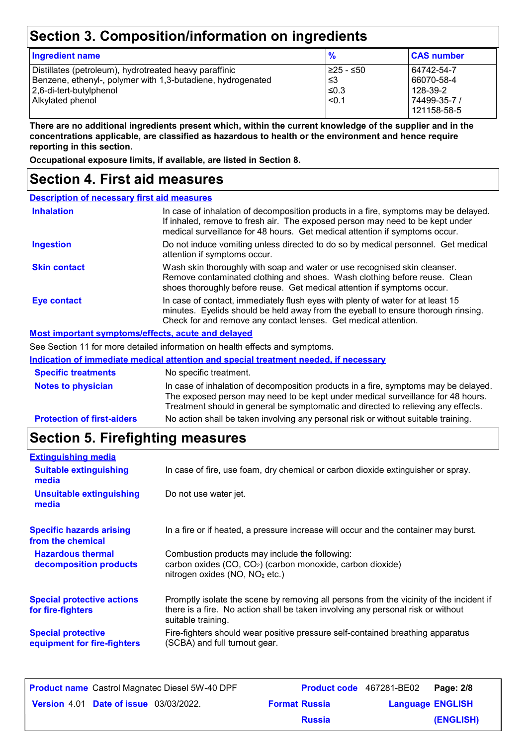### **Section 3. Composition/information on ingredients**

| <b>Ingredient name</b>                                                                                                                                               | $\frac{9}{6}$                            | <b>CAS number</b>                                                   |  |
|----------------------------------------------------------------------------------------------------------------------------------------------------------------------|------------------------------------------|---------------------------------------------------------------------|--|
| Distillates (petroleum), hydrotreated heavy paraffinic<br>Benzene, ethenyl-, polymer with 1,3-butadiene, hydrogenated<br>2,6-di-tert-butylphenol<br>Alkylated phenol | I≥25 - ≤50<br>l ≤3<br>$≤0.3$<br>$ $ <0.1 | 64742-54-7<br>66070-58-4<br>128-39-2<br>74499-35-7 /<br>121158-58-5 |  |

**There are no additional ingredients present which, within the current knowledge of the supplier and in the concentrations applicable, are classified as hazardous to health or the environment and hence require reporting in this section.**

**Occupational exposure limits, if available, are listed in Section 8.**

### **Section 4. First aid measures**

| <b>Description of necessary first aid measures</b> |                                                                                                                                                                                                                                                             |
|----------------------------------------------------|-------------------------------------------------------------------------------------------------------------------------------------------------------------------------------------------------------------------------------------------------------------|
| <b>Inhalation</b>                                  | In case of inhalation of decomposition products in a fire, symptoms may be delayed.<br>If inhaled, remove to fresh air. The exposed person may need to be kept under<br>medical surveillance for 48 hours. Get medical attention if symptoms occur.         |
| <b>Ingestion</b>                                   | Do not induce vomiting unless directed to do so by medical personnel. Get medical<br>attention if symptoms occur.                                                                                                                                           |
| <b>Skin contact</b>                                | Wash skin thoroughly with soap and water or use recognised skin cleanser.<br>Remove contaminated clothing and shoes. Wash clothing before reuse. Clean<br>shoes thoroughly before reuse. Get medical attention if symptoms occur.                           |
| Eye contact                                        | In case of contact, immediately flush eyes with plenty of water for at least 15<br>minutes. Eyelids should be held away from the eyeball to ensure thorough rinsing.<br>Check for and remove any contact lenses. Get medical attention.                     |
| Most important symptoms/effects, acute and delayed |                                                                                                                                                                                                                                                             |
|                                                    | See Section 11 for more detailed information on health effects and symptoms.                                                                                                                                                                                |
|                                                    | Indication of immediate medical attention and special treatment needed, if necessary                                                                                                                                                                        |
| <b>Specific treatments</b>                         | No specific treatment.                                                                                                                                                                                                                                      |
| <b>Notes to physician</b>                          | In case of inhalation of decomposition products in a fire, symptoms may be delayed.<br>The exposed person may need to be kept under medical surveillance for 48 hours.<br>Treatment should in general be symptomatic and directed to relieving any effects. |

**Protection of first-aiders** No action shall be taken involving any personal risk or without suitable training.

### **Section 5. Firefighting measures**

| <b>Extinguishing media</b>                               |                                                                                                                                                                                                   |
|----------------------------------------------------------|---------------------------------------------------------------------------------------------------------------------------------------------------------------------------------------------------|
| <b>Suitable extinguishing</b><br>media                   | In case of fire, use foam, dry chemical or carbon dioxide extinguisher or spray.                                                                                                                  |
| Unsuitable extinguishing<br>media                        | Do not use water jet.                                                                                                                                                                             |
| <b>Specific hazards arising</b><br>from the chemical     | In a fire or if heated, a pressure increase will occur and the container may burst.                                                                                                               |
| <b>Hazardous thermal</b><br>decomposition products       | Combustion products may include the following:<br>carbon oxides (CO, CO <sub>2</sub> ) (carbon monoxide, carbon dioxide)<br>nitrogen oxides (NO, NO <sub>2</sub> etc.)                            |
| <b>Special protective actions</b><br>for fire-fighters   | Promptly isolate the scene by removing all persons from the vicinity of the incident if<br>there is a fire. No action shall be taken involving any personal risk or without<br>suitable training. |
| <b>Special protective</b><br>equipment for fire-fighters | Fire-fighters should wear positive pressure self-contained breathing apparatus<br>(SCBA) and full turnout gear.                                                                                   |

| <b>Product name</b> Castrol Magnatec Diesel 5W-40 DPF | <b>Product code</b> 467281-BE02 |                         | Page: 2/8 |
|-------------------------------------------------------|---------------------------------|-------------------------|-----------|
| <b>Version 4.01 Date of issue 03/03/2022.</b>         | <b>Format Russia</b>            | <b>Language ENGLISH</b> |           |
|                                                       | <b>Russia</b>                   |                         | (ENGLISH) |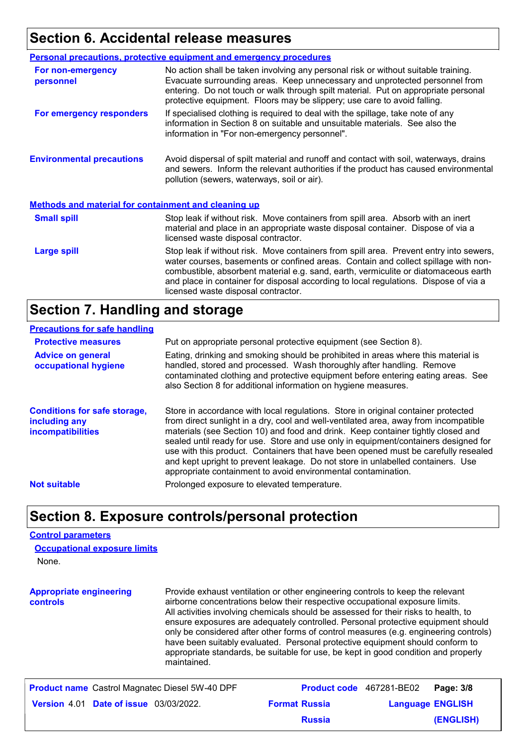### **Section 6. Accidental release measures**

|                                                             | <b>Personal precautions, protective equipment and emergency procedures</b>                                                                                                                                                                                                                                                                                                                         |
|-------------------------------------------------------------|----------------------------------------------------------------------------------------------------------------------------------------------------------------------------------------------------------------------------------------------------------------------------------------------------------------------------------------------------------------------------------------------------|
| For non-emergency<br>personnel                              | No action shall be taken involving any personal risk or without suitable training.<br>Evacuate surrounding areas. Keep unnecessary and unprotected personnel from<br>entering. Do not touch or walk through spilt material. Put on appropriate personal<br>protective equipment. Floors may be slippery; use care to avoid falling.                                                                |
| For emergency responders                                    | If specialised clothing is required to deal with the spillage, take note of any<br>information in Section 8 on suitable and unsuitable materials. See also the<br>information in "For non-emergency personnel".                                                                                                                                                                                    |
| <b>Environmental precautions</b>                            | Avoid dispersal of spilt material and runoff and contact with soil, waterways, drains<br>and sewers. Inform the relevant authorities if the product has caused environmental<br>pollution (sewers, waterways, soil or air).                                                                                                                                                                        |
| <b>Methods and material for containment and cleaning up</b> |                                                                                                                                                                                                                                                                                                                                                                                                    |
| <b>Small spill</b>                                          | Stop leak if without risk. Move containers from spill area. Absorb with an inert<br>material and place in an appropriate waste disposal container. Dispose of via a<br>licensed waste disposal contractor.                                                                                                                                                                                         |
| <b>Large spill</b>                                          | Stop leak if without risk. Move containers from spill area. Prevent entry into sewers,<br>water courses, basements or confined areas. Contain and collect spillage with non-<br>combustible, absorbent material e.g. sand, earth, vermiculite or diatomaceous earth<br>and place in container for disposal according to local regulations. Dispose of via a<br>licensed waste disposal contractor. |

### **Section 7. Handling and storage**

#### **Precautions for safe handling**

| <b>Protective measures</b>                                                       | Put on appropriate personal protective equipment (see Section 8).                                                                                                                                                                                                                                                                                                                                                                                                                                                                                                                              |
|----------------------------------------------------------------------------------|------------------------------------------------------------------------------------------------------------------------------------------------------------------------------------------------------------------------------------------------------------------------------------------------------------------------------------------------------------------------------------------------------------------------------------------------------------------------------------------------------------------------------------------------------------------------------------------------|
| <b>Advice on general</b><br>occupational hygiene                                 | Eating, drinking and smoking should be prohibited in areas where this material is<br>handled, stored and processed. Wash thoroughly after handling. Remove<br>contaminated clothing and protective equipment before entering eating areas. See<br>also Section 8 for additional information on hygiene measures.                                                                                                                                                                                                                                                                               |
| <b>Conditions for safe storage,</b><br>including any<br><b>incompatibilities</b> | Store in accordance with local regulations. Store in original container protected<br>from direct sunlight in a dry, cool and well-ventilated area, away from incompatible<br>materials (see Section 10) and food and drink. Keep container tightly closed and<br>sealed until ready for use. Store and use only in equipment/containers designed for<br>use with this product. Containers that have been opened must be carefully resealed<br>and kept upright to prevent leakage. Do not store in unlabelled containers. Use<br>appropriate containment to avoid environmental contamination. |
| <b>Not suitable</b>                                                              | Prolonged exposure to elevated temperature.                                                                                                                                                                                                                                                                                                                                                                                                                                                                                                                                                    |

### **Section 8. Exposure controls/personal protection**

#### **Control parameters**

| <b>Occupational exposure limits</b> |  |
|-------------------------------------|--|
| None.                               |  |

**Appropriate engineering controls** Provide exhaust ventilation or other engineering controls to keep the relevant airborne concentrations below their respective occupational exposure limits. All activities involving chemicals should be assessed for their risks to health, to ensure exposures are adequately controlled. Personal protective equipment should only be considered after other forms of control measures (e.g. engineering controls) have been suitably evaluated. Personal protective equipment should conform to appropriate standards, be suitable for use, be kept in good condition and properly maintained.

| <b>Product name</b> Castrol Magnatec Diesel 5W-40 DPF |                      | <b>Product code</b> 467281-BE02<br>Page: 3/8 |
|-------------------------------------------------------|----------------------|----------------------------------------------|
| <b>Version 4.01 Date of issue 03/03/2022.</b>         | <b>Format Russia</b> | <b>Language ENGLISH</b>                      |
|                                                       | <b>Russia</b>        | (ENGLISH)                                    |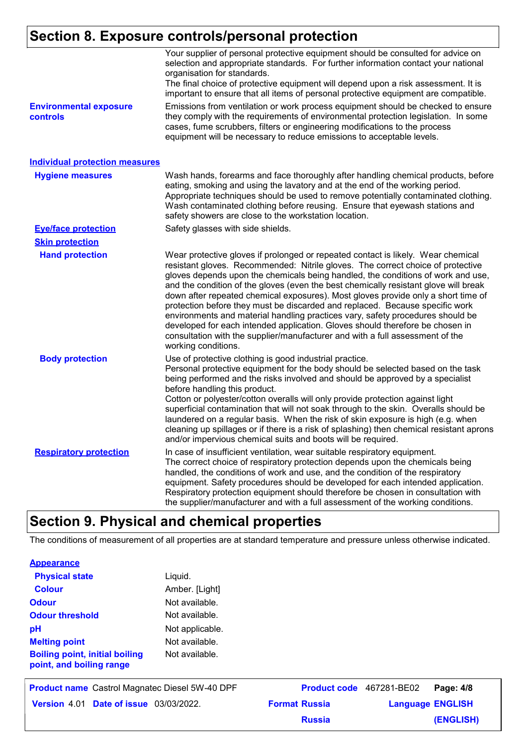### **Section 8. Exposure controls/personal protection**

|                                                  | Your supplier of personal protective equipment should be consulted for advice on<br>selection and appropriate standards. For further information contact your national<br>organisation for standards.<br>The final choice of protective equipment will depend upon a risk assessment. It is<br>important to ensure that all items of personal protective equipment are compatible.                                                                                                                                                                                                                                                                                                                                                                                                              |
|--------------------------------------------------|-------------------------------------------------------------------------------------------------------------------------------------------------------------------------------------------------------------------------------------------------------------------------------------------------------------------------------------------------------------------------------------------------------------------------------------------------------------------------------------------------------------------------------------------------------------------------------------------------------------------------------------------------------------------------------------------------------------------------------------------------------------------------------------------------|
| <b>Environmental exposure</b><br><b>controls</b> | Emissions from ventilation or work process equipment should be checked to ensure<br>they comply with the requirements of environmental protection legislation. In some<br>cases, fume scrubbers, filters or engineering modifications to the process<br>equipment will be necessary to reduce emissions to acceptable levels.                                                                                                                                                                                                                                                                                                                                                                                                                                                                   |
| <b>Individual protection measures</b>            |                                                                                                                                                                                                                                                                                                                                                                                                                                                                                                                                                                                                                                                                                                                                                                                                 |
| <b>Hygiene measures</b>                          | Wash hands, forearms and face thoroughly after handling chemical products, before<br>eating, smoking and using the lavatory and at the end of the working period.<br>Appropriate techniques should be used to remove potentially contaminated clothing.<br>Wash contaminated clothing before reusing. Ensure that eyewash stations and<br>safety showers are close to the workstation location.                                                                                                                                                                                                                                                                                                                                                                                                 |
| <b>Eye/face protection</b>                       | Safety glasses with side shields.                                                                                                                                                                                                                                                                                                                                                                                                                                                                                                                                                                                                                                                                                                                                                               |
| <b>Skin protection</b>                           |                                                                                                                                                                                                                                                                                                                                                                                                                                                                                                                                                                                                                                                                                                                                                                                                 |
| <b>Hand protection</b>                           | Wear protective gloves if prolonged or repeated contact is likely. Wear chemical<br>resistant gloves. Recommended: Nitrile gloves. The correct choice of protective<br>gloves depends upon the chemicals being handled, the conditions of work and use,<br>and the condition of the gloves (even the best chemically resistant glove will break<br>down after repeated chemical exposures). Most gloves provide only a short time of<br>protection before they must be discarded and replaced. Because specific work<br>environments and material handling practices vary, safety procedures should be<br>developed for each intended application. Gloves should therefore be chosen in<br>consultation with the supplier/manufacturer and with a full assessment of the<br>working conditions. |
| <b>Body protection</b>                           | Use of protective clothing is good industrial practice.<br>Personal protective equipment for the body should be selected based on the task<br>being performed and the risks involved and should be approved by a specialist<br>before handling this product.<br>Cotton or polyester/cotton overalls will only provide protection against light<br>superficial contamination that will not soak through to the skin. Overalls should be<br>laundered on a regular basis. When the risk of skin exposure is high (e.g. when<br>cleaning up spillages or if there is a risk of splashing) then chemical resistant aprons<br>and/or impervious chemical suits and boots will be required.                                                                                                           |
| <b>Respiratory protection</b>                    | In case of insufficient ventilation, wear suitable respiratory equipment.<br>The correct choice of respiratory protection depends upon the chemicals being<br>handled, the conditions of work and use, and the condition of the respiratory<br>equipment. Safety procedures should be developed for each intended application.<br>Respiratory protection equipment should therefore be chosen in consultation with<br>the supplier/manufacturer and with a full assessment of the working conditions.                                                                                                                                                                                                                                                                                           |

### **Section 9. Physical and chemical properties**

The conditions of measurement of all properties are at standard temperature and pressure unless otherwise indicated.

| <b>Appearance</b> |
|-------------------|
|-------------------|

| <b>Physical state</b>                                             | Liquid.         |
|-------------------------------------------------------------------|-----------------|
| <b>Colour</b>                                                     | Amber. [Light]  |
| <b>Odour</b>                                                      | Not available.  |
| <b>Odour threshold</b>                                            | Not available.  |
| рH                                                                | Not applicable. |
| <b>Melting point</b>                                              | Not available.  |
| <b>Boiling point, initial boiling</b><br>point, and boiling range | Not available.  |

| <b>Product name</b> Castrol Magnatec Diesel 5W-40 DPF |                      | Product code 467281-BE02 Page: 4/8 |           |
|-------------------------------------------------------|----------------------|------------------------------------|-----------|
| <b>Version 4.01 Date of issue 03/03/2022.</b>         | <b>Format Russia</b> | <b>Language ENGLISH</b>            |           |
|                                                       | <b>Russia</b>        |                                    | (ENGLISH) |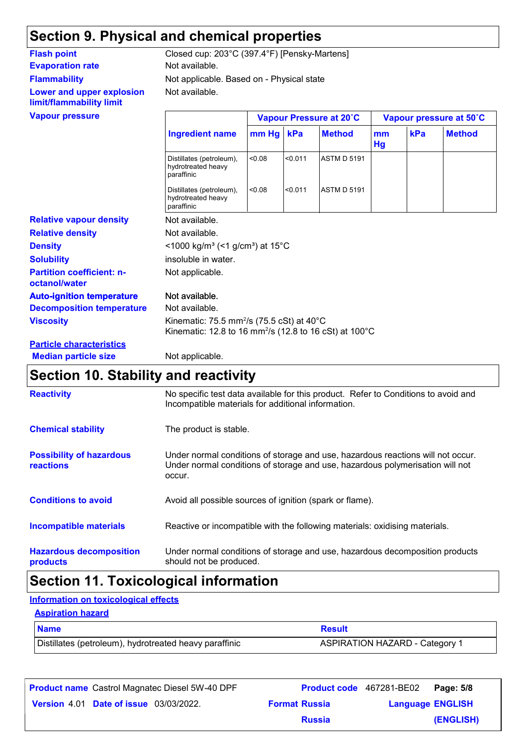## **Section 9. Physical and chemical properties**

### **Evaporation rate** Not available. **Flammability Lower and upper explosion limit/flammability limit**

Not available. Not applicable. Based on - Physical state **Flash point** Closed cup: 203°C (397.4°F) [Pensky-Martens]

| <b>Vapour pressure</b>                            | Vapour Pressure at 20°C                                                                                                                |                                                                         | Vapour pressure at 50°C |                    |          |     |               |
|---------------------------------------------------|----------------------------------------------------------------------------------------------------------------------------------------|-------------------------------------------------------------------------|-------------------------|--------------------|----------|-----|---------------|
|                                                   | <b>Ingredient name</b>                                                                                                                 | $mm$ Hg                                                                 | kPa                     | <b>Method</b>      | mm<br>Hg | kPa | <b>Method</b> |
|                                                   | Distillates (petroleum),<br>hydrotreated heavy<br>paraffinic                                                                           | <0.08                                                                   | < 0.011                 | <b>ASTM D 5191</b> |          |     |               |
|                                                   | Distillates (petroleum),<br>hydrotreated heavy<br>paraffinic                                                                           | < 0.08                                                                  | < 0.011                 | <b>ASTM D 5191</b> |          |     |               |
| <b>Relative vapour density</b>                    | Not available.                                                                                                                         |                                                                         |                         |                    |          |     |               |
| <b>Relative density</b>                           | Not available.                                                                                                                         |                                                                         |                         |                    |          |     |               |
| <b>Density</b>                                    |                                                                                                                                        | $<$ 1000 kg/m <sup>3</sup> (<1 g/cm <sup>3</sup> ) at 15 <sup>°</sup> C |                         |                    |          |     |               |
| <b>Solubility</b>                                 | insoluble in water.                                                                                                                    |                                                                         |                         |                    |          |     |               |
| <b>Partition coefficient: n-</b><br>octanol/water | Not applicable.                                                                                                                        |                                                                         |                         |                    |          |     |               |
| <b>Auto-ignition temperature</b>                  | Not available.                                                                                                                         |                                                                         |                         |                    |          |     |               |
| <b>Decomposition temperature</b>                  | Not available.                                                                                                                         |                                                                         |                         |                    |          |     |               |
| <b>Viscosity</b>                                  | Kinematic: 75.5 mm <sup>2</sup> /s (75.5 cSt) at 40 $^{\circ}$ C<br>Kinematic: 12.8 to 16 mm <sup>2</sup> /s (12.8 to 16 cSt) at 100°C |                                                                         |                         |                    |          |     |               |
| <b>Particle characteristics</b>                   |                                                                                                                                        |                                                                         |                         |                    |          |     |               |
| <b>Median particle size</b>                       | Not applicable.                                                                                                                        |                                                                         |                         |                    |          |     |               |

### **Section 10. Stability and reactivity**

| <b>Reactivity</b>                                   | No specific test data available for this product. Refer to Conditions to avoid and<br>Incompatible materials for additional information.                                   |
|-----------------------------------------------------|----------------------------------------------------------------------------------------------------------------------------------------------------------------------------|
| <b>Chemical stability</b>                           | The product is stable.                                                                                                                                                     |
| <b>Possibility of hazardous</b><br><b>reactions</b> | Under normal conditions of storage and use, hazardous reactions will not occur.<br>Under normal conditions of storage and use, hazardous polymerisation will not<br>occur. |
| <b>Conditions to avoid</b>                          | Avoid all possible sources of ignition (spark or flame).                                                                                                                   |
| Incompatible materials                              | Reactive or incompatible with the following materials: oxidising materials.                                                                                                |
| <b>Hazardous decomposition</b><br>products          | Under normal conditions of storage and use, hazardous decomposition products<br>should not be produced.                                                                    |

## **Section 11. Toxicological information**

### **Information on toxicological effects**

#### **Aspiration hazard**

| <b>Name</b>                                            | <b>Result</b>                         |
|--------------------------------------------------------|---------------------------------------|
| Distillates (petroleum), hydrotreated heavy paraffinic | <b>ASPIRATION HAZARD - Category 1</b> |

| <b>Product name</b> Castrol Magnatec Diesel 5W-40 DPF |                      | <b>Product code</b> 467281-BE02   Page: 5/8 |           |
|-------------------------------------------------------|----------------------|---------------------------------------------|-----------|
| <b>Version 4.01 Date of issue 03/03/2022.</b>         | <b>Format Russia</b> | <b>Language ENGLISH</b>                     |           |
|                                                       | <b>Russia</b>        |                                             | (ENGLISH) |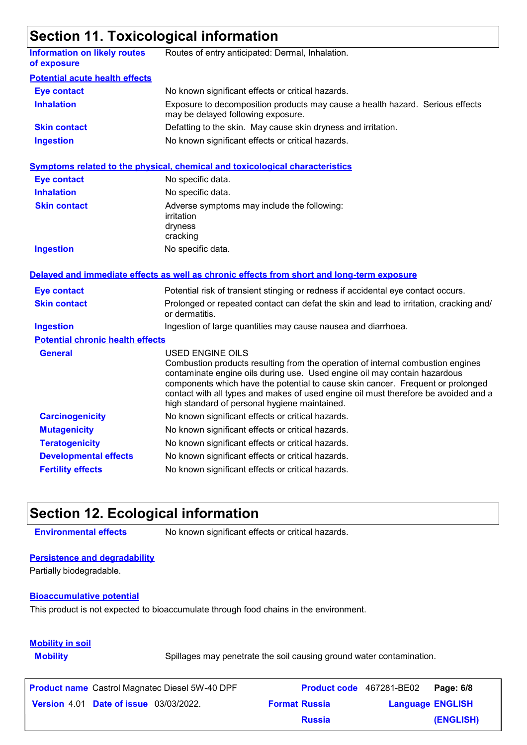### **Section 11. Toxicological information**

|                                                    | <u>oodiidii 11.1 ohiddidgiddi iilioi iilatidi</u>                                                                                                                                                                                                                                                                                                                                                                  |
|----------------------------------------------------|--------------------------------------------------------------------------------------------------------------------------------------------------------------------------------------------------------------------------------------------------------------------------------------------------------------------------------------------------------------------------------------------------------------------|
| <b>Information on likely routes</b><br>of exposure | Routes of entry anticipated: Dermal, Inhalation.                                                                                                                                                                                                                                                                                                                                                                   |
| <b>Potential acute health effects</b>              |                                                                                                                                                                                                                                                                                                                                                                                                                    |
| <b>Eye contact</b>                                 | No known significant effects or critical hazards.                                                                                                                                                                                                                                                                                                                                                                  |
| <b>Inhalation</b>                                  | Exposure to decomposition products may cause a health hazard. Serious effects<br>may be delayed following exposure.                                                                                                                                                                                                                                                                                                |
| <b>Skin contact</b>                                | Defatting to the skin. May cause skin dryness and irritation.                                                                                                                                                                                                                                                                                                                                                      |
| <b>Ingestion</b>                                   | No known significant effects or critical hazards.                                                                                                                                                                                                                                                                                                                                                                  |
|                                                    | <b>Symptoms related to the physical, chemical and toxicological characteristics</b>                                                                                                                                                                                                                                                                                                                                |
| <b>Eye contact</b>                                 | No specific data.                                                                                                                                                                                                                                                                                                                                                                                                  |
| <b>Inhalation</b>                                  | No specific data.                                                                                                                                                                                                                                                                                                                                                                                                  |
| <b>Skin contact</b>                                | Adverse symptoms may include the following:<br>irritation<br>dryness<br>cracking                                                                                                                                                                                                                                                                                                                                   |
| <b>Ingestion</b>                                   | No specific data.                                                                                                                                                                                                                                                                                                                                                                                                  |
|                                                    | Delayed and immediate effects as well as chronic effects from short and long-term exposure                                                                                                                                                                                                                                                                                                                         |
| <b>Eye contact</b>                                 | Potential risk of transient stinging or redness if accidental eye contact occurs.                                                                                                                                                                                                                                                                                                                                  |
| <b>Skin contact</b>                                | Prolonged or repeated contact can defat the skin and lead to irritation, cracking and/<br>or dermatitis.                                                                                                                                                                                                                                                                                                           |
| <b>Ingestion</b>                                   | Ingestion of large quantities may cause nausea and diarrhoea.                                                                                                                                                                                                                                                                                                                                                      |
| <b>Potential chronic health effects</b>            |                                                                                                                                                                                                                                                                                                                                                                                                                    |
| <b>General</b>                                     | <b>USED ENGINE OILS</b><br>Combustion products resulting from the operation of internal combustion engines<br>contaminate engine oils during use. Used engine oil may contain hazardous<br>components which have the potential to cause skin cancer. Frequent or prolonged<br>contact with all types and makes of used engine oil must therefore be avoided and a<br>high standard of personal hygiene maintained. |
| <b>Carcinogenicity</b>                             | No known significant effects or critical hazards.                                                                                                                                                                                                                                                                                                                                                                  |
| <b>Mutagenicity</b>                                | No known significant effects or critical hazards.                                                                                                                                                                                                                                                                                                                                                                  |
| <b>Teratogenicity</b>                              | No known significant effects or critical hazards.                                                                                                                                                                                                                                                                                                                                                                  |
| <b>Developmental effects</b>                       | No known significant effects or critical hazards.                                                                                                                                                                                                                                                                                                                                                                  |
| <b>Fertility effects</b>                           | No known significant effects or critical hazards.                                                                                                                                                                                                                                                                                                                                                                  |

### **Section 12. Ecological information**

**Environmental effects** No known significant effects or critical hazards.

#### **Persistence and degradability**

Partially biodegradable.

#### **Bioaccumulative potential**

This product is not expected to bioaccumulate through food chains in the environment.

### **Mobility in soil**

**Mobility** Spillages may penetrate the soil causing ground water contamination.

| <b>Product name</b> Castrol Magnatec Diesel 5W-40 DPF |                      | <b>Product code</b> 467281-BE02 | Page: 6/8 |
|-------------------------------------------------------|----------------------|---------------------------------|-----------|
| <b>Version 4.01 Date of issue 03/03/2022.</b>         | <b>Format Russia</b> | <b>Language ENGLISH</b>         |           |
|                                                       | <b>Russia</b>        |                                 | (ENGLISH) |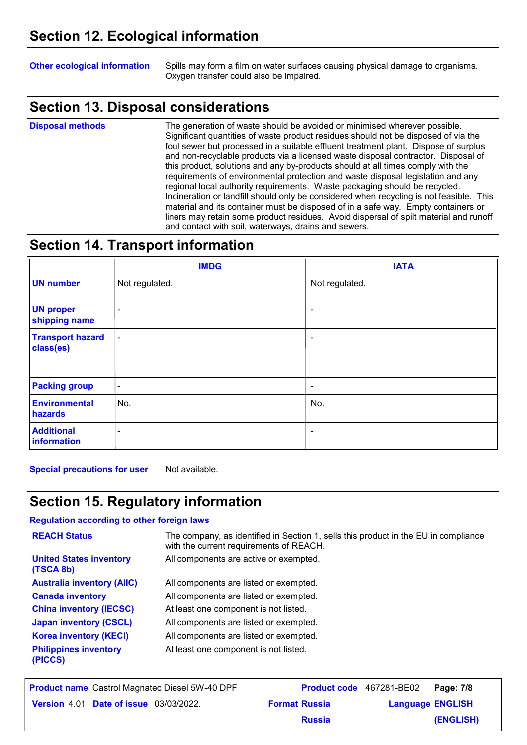### **Section 12. Ecological information**

**Other ecological information** Spills may form a film on water surfaces causing physical damage to organisms. Oxygen transfer could also be impaired.

### **Section 13. Disposal considerations**

**Disposal methods**

The generation of waste should be avoided or minimised wherever possible. Significant quantities of waste product residues should not be disposed of via the foul sewer but processed in a suitable effluent treatment plant. Dispose of surplus and non-recyclable products via a licensed waste disposal contractor. Disposal of this product, solutions and any by-products should at all times comply with the requirements of environmental protection and waste disposal legislation and any regional local authority requirements. Waste packaging should be recycled. Incineration or landfill should only be considered when recycling is not feasible. This material and its container must be disposed of in a safe way. Empty containers or liners may retain some product residues. Avoid dispersal of spilt material and runoff and contact with soil, waterways, drains and sewers.

### **Section 14. Transport information**

|                                      | <b>IMDG</b>              | <b>IATA</b>    |
|--------------------------------------|--------------------------|----------------|
| <b>UN number</b>                     | Not regulated.           | Not regulated. |
| <b>UN proper</b><br>shipping name    | $\sim$                   | $\sim$         |
| <b>Transport hazard</b><br>class(es) | $\blacksquare$           | ٠              |
| <b>Packing group</b>                 | $\sim$                   | $\blacksquare$ |
| <b>Environmental</b><br>hazards      | No.                      | No.            |
| <b>Additional</b><br>information     | $\overline{\phantom{a}}$ | ٠              |

**Special precautions for user** Not available.

### **Section 15. Regulatory information**

#### **Regulation according to other foreign laws**

| <b>REACH Status</b>                         | The company, as identified in Section 1, sells this product in the EU in compliance<br>with the current requirements of REACH. |
|---------------------------------------------|--------------------------------------------------------------------------------------------------------------------------------|
| <b>United States inventory</b><br>(TSCA 8b) | All components are active or exempted.                                                                                         |
| <b>Australia inventory (AIIC)</b>           | All components are listed or exempted.                                                                                         |
| <b>Canada inventory</b>                     | All components are listed or exempted.                                                                                         |
| <b>China inventory (IECSC)</b>              | At least one component is not listed.                                                                                          |
| <b>Japan inventory (CSCL)</b>               | All components are listed or exempted.                                                                                         |
| <b>Korea inventory (KECI)</b>               | All components are listed or exempted.                                                                                         |
| <b>Philippines inventory</b><br>(PICCS)     | At least one component is not listed.                                                                                          |

| <b>Product name</b> Castrol Magnatec Diesel 5W-40 DPF |                      | Product code 467281-BE02 Page: 7/8 |           |
|-------------------------------------------------------|----------------------|------------------------------------|-----------|
| <b>Version 4.01 Date of issue 03/03/2022.</b>         | <b>Format Russia</b> | <b>Language ENGLISH</b>            |           |
|                                                       | <b>Russia</b>        |                                    | (ENGLISH) |